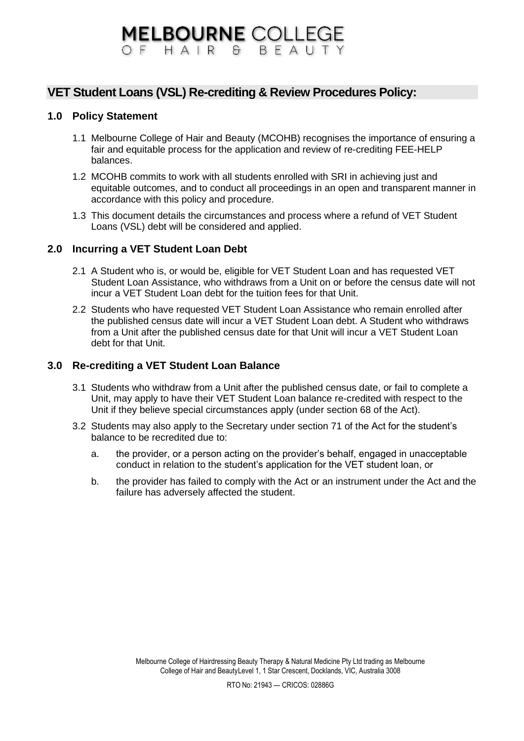### **VET Student Loans (VSL) Re-crediting & Review Procedures Policy:**

### **1.0 Policy Statement**

- 1.1 Melbourne College of Hair and Beauty (MCOHB) recognises the importance of ensuring a fair and equitable process for the application and review of re-crediting FEE-HELP balances.
- 1.2 MCOHB commits to work with all students enrolled with SRI in achieving just and equitable outcomes, and to conduct all proceedings in an open and transparent manner in accordance with this policy and procedure.
- 1.3 This document details the circumstances and process where a refund of VET Student Loans (VSL) debt will be considered and applied.

### **2.0 Incurring a VET Student Loan Debt**

- 2.1 A Student who is, or would be, eligible for VET Student Loan and has requested VET Student Loan Assistance, who withdraws from a Unit on or before the census date will not incur a VET Student Loan debt for the tuition fees for that Unit.
- 2.2 Students who have requested VET Student Loan Assistance who remain enrolled after the published census date will incur a VET Student Loan debt. A Student who withdraws from a Unit after the published census date for that Unit will incur a VET Student Loan debt for that Unit.

#### **3.0 Re-crediting a VET Student Loan Balance**

- 3.1 Students who withdraw from a Unit after the published census date, or fail to complete a Unit, may apply to have their VET Student Loan balance re-credited with respect to the Unit if they believe special circumstances apply (under section 68 of the Act).
- 3.2 Students may also apply to the Secretary under section 71 of the Act for the student's balance to be recredited due to:
	- a. the provider, or a person acting on the provider's behalf, engaged in unacceptable conduct in relation to the student's application for the VET student loan, or
	- b. the provider has failed to comply with the Act or an instrument under the Act and the failure has adversely affected the student.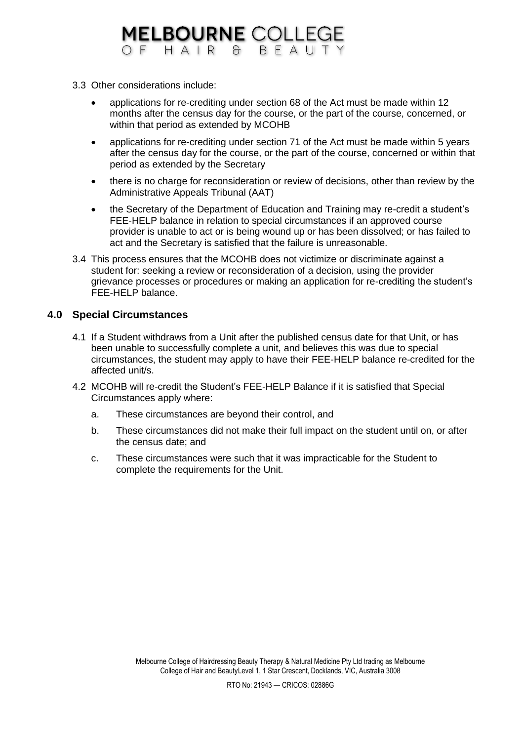- 3.3 Other considerations include:
	- applications for re-crediting under section 68 of the Act must be made within 12 months after the census day for the course, or the part of the course, concerned, or within that period as extended by MCOHB
	- applications for re-crediting under section 71 of the Act must be made within 5 years after the census day for the course, or the part of the course, concerned or within that period as extended by the Secretary
	- there is no charge for reconsideration or review of decisions, other than review by the Administrative Appeals Tribunal (AAT)
	- the Secretary of the Department of Education and Training may re-credit a student's FEE-HELP balance in relation to special circumstances if an approved course provider is unable to act or is being wound up or has been dissolved; or has failed to act and the Secretary is satisfied that the failure is unreasonable.
- 3.4 This process ensures that the MCOHB does not victimize or discriminate against a student for: seeking a review or reconsideration of a decision, using the provider grievance processes or procedures or making an application for re-crediting the student's FEE-HELP balance.

### **4.0 Special Circumstances**

- 4.1 If a Student withdraws from a Unit after the published census date for that Unit, or has been unable to successfully complete a unit, and believes this was due to special circumstances, the student may apply to have their FEE-HELP balance re-credited for the affected unit/s.
- 4.2 MCOHB will re-credit the Student's FEE-HELP Balance if it is satisfied that Special Circumstances apply where:
	- a. These circumstances are beyond their control, and
	- b. These circumstances did not make their full impact on the student until on, or after the census date; and
	- c. These circumstances were such that it was impracticable for the Student to complete the requirements for the Unit.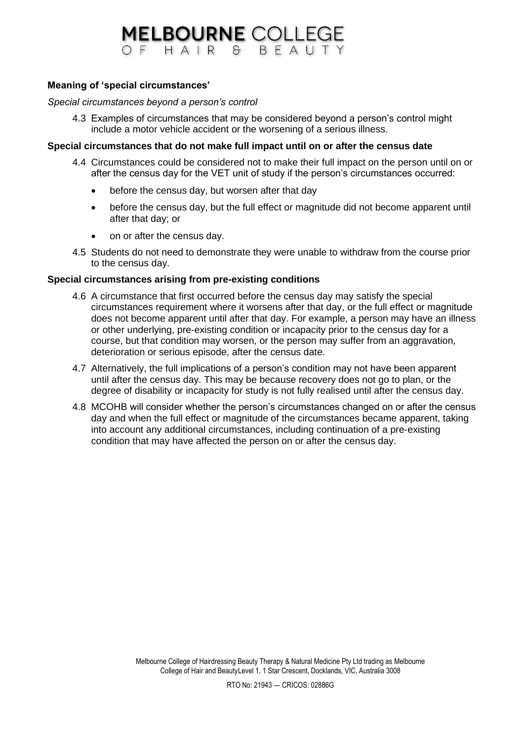#### **Meaning of 'special circumstances'**

#### *Special circumstances beyond a person's control*

4.3 Examples of circumstances that may be considered beyond a person's control might include a motor vehicle accident or the worsening of a serious illness.

#### **Special circumstances that do not make full impact until on or after the census date**

- 4.4 Circumstances could be considered not to make their full impact on the person until on or after the census day for the VET unit of study if the person's circumstances occurred:
	- before the census day, but worsen after that day
	- before the census day, but the full effect or magnitude did not become apparent until after that day; or
	- on or after the census day.
- 4.5 Students do not need to demonstrate they were unable to withdraw from the course prior to the census day.

#### **Special circumstances arising from pre-existing conditions**

- 4.6 A circumstance that first occurred before the census day may satisfy the special circumstances requirement where it worsens after that day, or the full effect or magnitude does not become apparent until after that day. For example, a person may have an illness or other underlying, pre‐existing condition or incapacity prior to the census day for a course, but that condition may worsen, or the person may suffer from an aggravation, deterioration or serious episode, after the census date.
- 4.7 Alternatively, the full implications of a person's condition may not have been apparent until after the census day. This may be because recovery does not go to plan, or the degree of disability or incapacity for study is not fully realised until after the census day.
- 4.8 MCOHB will consider whether the person's circumstances changed on or after the census day and when the full effect or magnitude of the circumstances became apparent, taking into account any additional circumstances, including continuation of a pre‐existing condition that may have affected the person on or after the census day.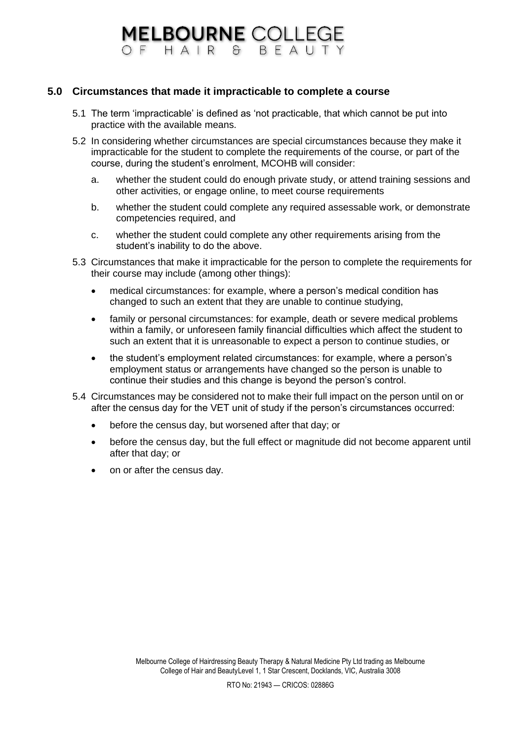### **5.0 Circumstances that made it impracticable to complete a course**

- 5.1 The term 'impracticable' is defined as 'not practicable, that which cannot be put into practice with the available means.
- 5.2 In considering whether circumstances are special circumstances because they make it impracticable for the student to complete the requirements of the course, or part of the course, during the student's enrolment, MCOHB will consider:
	- a. whether the student could do enough private study, or attend training sessions and other activities, or engage online, to meet course requirements
	- b. whether the student could complete any required assessable work, or demonstrate competencies required, and
	- c. whether the student could complete any other requirements arising from the student's inability to do the above.
- 5.3 Circumstances that make it impracticable for the person to complete the requirements for their course may include (among other things):
	- medical circumstances: for example, where a person's medical condition has changed to such an extent that they are unable to continue studying,
	- family or personal circumstances: for example, death or severe medical problems within a family, or unforeseen family financial difficulties which affect the student to such an extent that it is unreasonable to expect a person to continue studies, or
	- the student's employment related circumstances: for example, where a person's employment status or arrangements have changed so the person is unable to continue their studies and this change is beyond the person's control.
- 5.4 Circumstances may be considered not to make their full impact on the person until on or after the census day for the VET unit of study if the person's circumstances occurred:
	- before the census day, but worsened after that day; or
	- before the census day, but the full effect or magnitude did not become apparent until after that day; or
	- on or after the census day.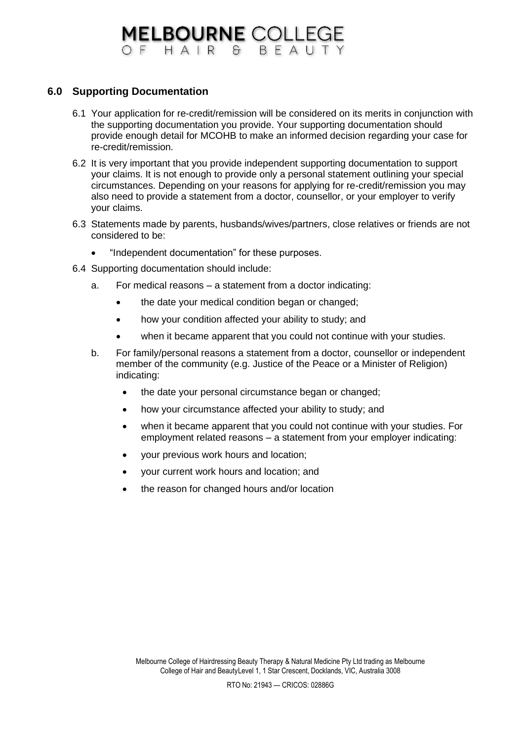### **MELBOURNE COLLEGE**<br>OF HAIR & BEAUTY

### **6.0 Supporting Documentation**

- 6.1 Your application for re-credit/remission will be considered on its merits in conjunction with the supporting documentation you provide. Your supporting documentation should provide enough detail for MCOHB to make an informed decision regarding your case for re-credit/remission.
- 6.2 It is very important that you provide independent supporting documentation to support your claims. It is not enough to provide only a personal statement outlining your special circumstances. Depending on your reasons for applying for re-credit/remission you may also need to provide a statement from a doctor, counsellor, or your employer to verify your claims.
- 6.3 Statements made by parents, husbands/wives/partners, close relatives or friends are not considered to be:
	- "Independent documentation" for these purposes.
- 6.4 Supporting documentation should include:
	- a. For medical reasons a statement from a doctor indicating:
		- the date your medical condition began or changed;
		- how your condition affected your ability to study; and
		- when it became apparent that you could not continue with your studies.
	- b. For family/personal reasons a statement from a doctor, counsellor or independent member of the community (e.g. Justice of the Peace or a Minister of Religion) indicating:
		- the date your personal circumstance began or changed;
		- how your circumstance affected your ability to study; and
		- when it became apparent that you could not continue with your studies. For employment related reasons – a statement from your employer indicating:
		- your previous work hours and location;
		- your current work hours and location; and
		- the reason for changed hours and/or location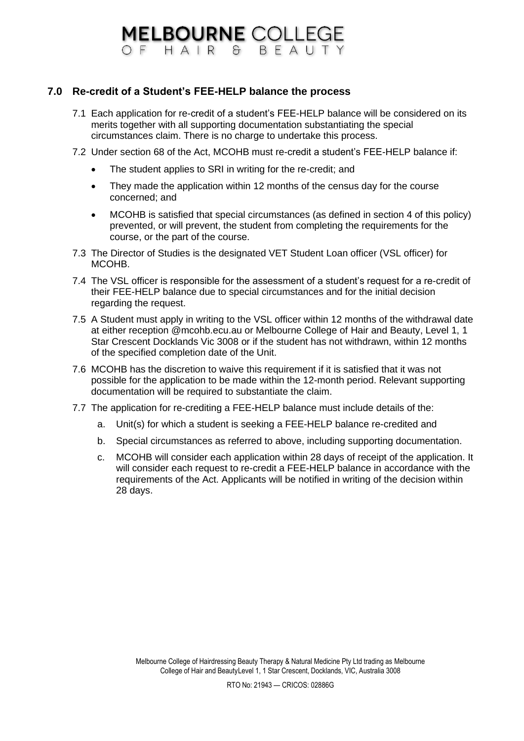### **MELBOURNE COLLEGE** OF HAIR & BFAUTY

### **7.0 Re-credit of a Student's FEE-HELP balance the process**

- 7.1 Each application for re-credit of a student's FEE-HELP balance will be considered on its merits together with all supporting documentation substantiating the special circumstances claim. There is no charge to undertake this process.
- 7.2 Under section 68 of the Act, MCOHB must re-credit a student's FEE-HELP balance if:
	- The student applies to SRI in writing for the re-credit; and
	- They made the application within 12 months of the census day for the course concerned; and
	- MCOHB is satisfied that special circumstances (as defined in section 4 of this policy) prevented, or will prevent, the student from completing the requirements for the course, or the part of the course.
- 7.3 The Director of Studies is the designated VET Student Loan officer (VSL officer) for MCOHB.
- 7.4 The VSL officer is responsible for the assessment of a student's request for a re-credit of their FEE-HELP balance due to special circumstances and for the initial decision regarding the request.
- 7.5 A Student must apply in writing to the VSL officer within 12 months of the withdrawal date at either reception @mcohb.ecu.au or Melbourne College of Hair and Beauty, Level 1, 1 Star Crescent Docklands Vic 3008 or if the student has not withdrawn, within 12 months of the specified completion date of the Unit.
- 7.6 MCOHB has the discretion to waive this requirement if it is satisfied that it was not possible for the application to be made within the 12-month period. Relevant supporting documentation will be required to substantiate the claim.
- 7.7 The application for re-crediting a FEE-HELP balance must include details of the:
	- a. Unit(s) for which a student is seeking a FEE-HELP balance re-credited and
	- b. Special circumstances as referred to above, including supporting documentation.
	- c. MCOHB will consider each application within 28 days of receipt of the application. It will consider each request to re-credit a FEE-HELP balance in accordance with the requirements of the Act. Applicants will be notified in writing of the decision within 28 days.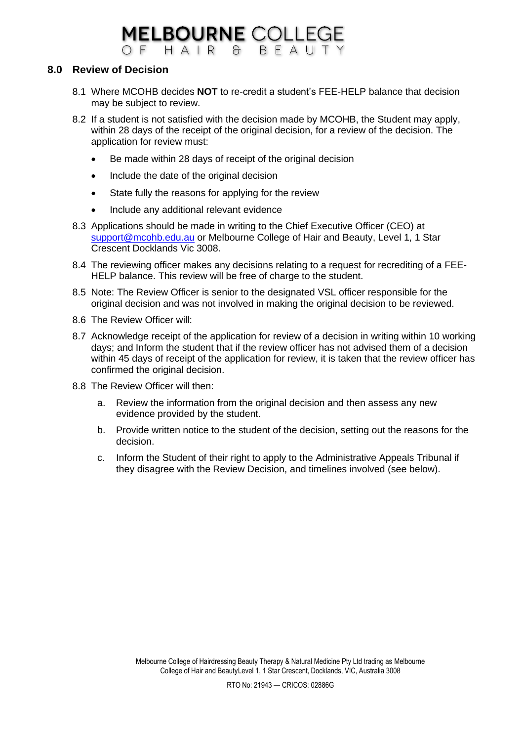### **8.0 Review of Decision**

- 8.1 Where MCOHB decides **NOT** to re-credit a student's FEE-HELP balance that decision may be subject to review.
- 8.2 If a student is not satisfied with the decision made by MCOHB, the Student may apply, within 28 days of the receipt of the original decision, for a review of the decision. The application for review must:
	- Be made within 28 days of receipt of the original decision
	- Include the date of the original decision
	- State fully the reasons for applying for the review
	- Include any additional relevant evidence
- 8.3 Applications should be made in writing to the Chief Executive Officer (CEO) at [support@mcohb.edu.au](mailto:support@mcohb.edu.au) or Melbourne College of Hair and Beauty, Level 1, 1 Star Crescent Docklands Vic 3008.
- 8.4 The reviewing officer makes any decisions relating to a request for recrediting of a FEE-HELP balance. This review will be free of charge to the student.
- 8.5 Note: The Review Officer is senior to the designated VSL officer responsible for the original decision and was not involved in making the original decision to be reviewed.
- 8.6 The Review Officer will:
- 8.7 Acknowledge receipt of the application for review of a decision in writing within 10 working days; and Inform the student that if the review officer has not advised them of a decision within 45 days of receipt of the application for review, it is taken that the review officer has confirmed the original decision.
- 8.8 The Review Officer will then:
	- a. Review the information from the original decision and then assess any new evidence provided by the student.
	- b. Provide written notice to the student of the decision, setting out the reasons for the decision.
	- c. Inform the Student of their right to apply to the Administrative Appeals Tribunal if they disagree with the Review Decision, and timelines involved (see below).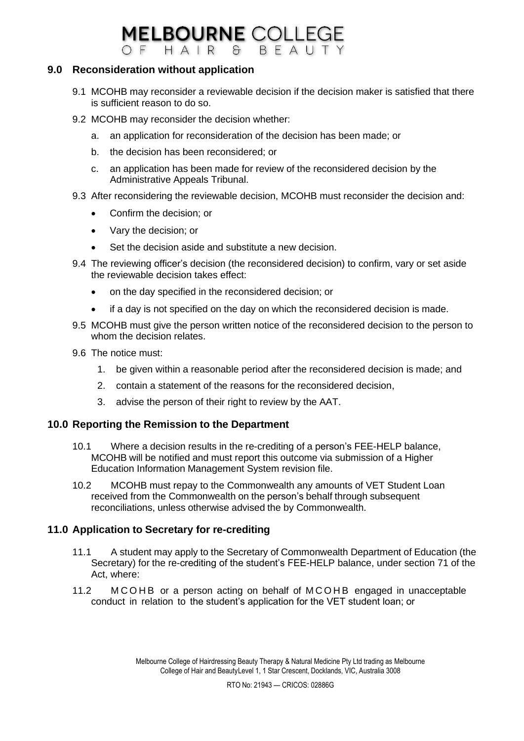#### **MELBOURNE COLLEGE** OF HAIR & RFAUTY

### **9.0 Reconsideration without application**

- 9.1 MCOHB may reconsider a reviewable decision if the decision maker is satisfied that there is sufficient reason to do so.
- 9.2 MCOHB may reconsider the decision whether:
	- a. an application for reconsideration of the decision has been made; or
	- b. the decision has been reconsidered; or
	- c. an application has been made for review of the reconsidered decision by the Administrative Appeals Tribunal.
- 9.3 After reconsidering the reviewable decision, MCOHB must reconsider the decision and:
	- Confirm the decision; or
	- Vary the decision; or
	- Set the decision aside and substitute a new decision.
- 9.4 The reviewing officer's decision (the reconsidered decision) to confirm, vary or set aside the reviewable decision takes effect:
	- on the day specified in the reconsidered decision; or
	- if a day is not specified on the day on which the reconsidered decision is made.
- 9.5 MCOHB must give the person written notice of the reconsidered decision to the person to whom the decision relates.
- 9.6 The notice must:
	- 1. be given within a reasonable period after the reconsidered decision is made; and
	- 2. contain a statement of the reasons for the reconsidered decision,
	- 3. advise the person of their right to review by the AAT.

### **10.0 Reporting the Remission to the Department**

- 10.1 Where a decision results in the re-crediting of a person's FEE-HELP balance, MCOHB will be notified and must report this outcome via submission of a Higher Education Information Management System revision file.
- 10.2 MCOHB must repay to the Commonwealth any amounts of VET Student Loan received from the Commonwealth on the person's behalf through subsequent reconciliations, unless otherwise advised the by Commonwealth.

### **11.0 Application to Secretary for re-crediting**

- 11.1 A student may apply to the Secretary of Commonwealth Department of Education (the Secretary) for the re-crediting of the student's FEE-HELP balance, under section 71 of the Act, where:
- 11.2 M C O H B or a person acting on behalf of M C O H B engaged in unacceptable conduct in relation to the student's application for the VET student loan; or

Melbourne College of Hairdressing Beauty Therapy & Natural Medicine Pty Ltd trading as Melbourne College of Hair and BeautyLevel 1, 1 Star Crescent, Docklands, VIC, Australia 3008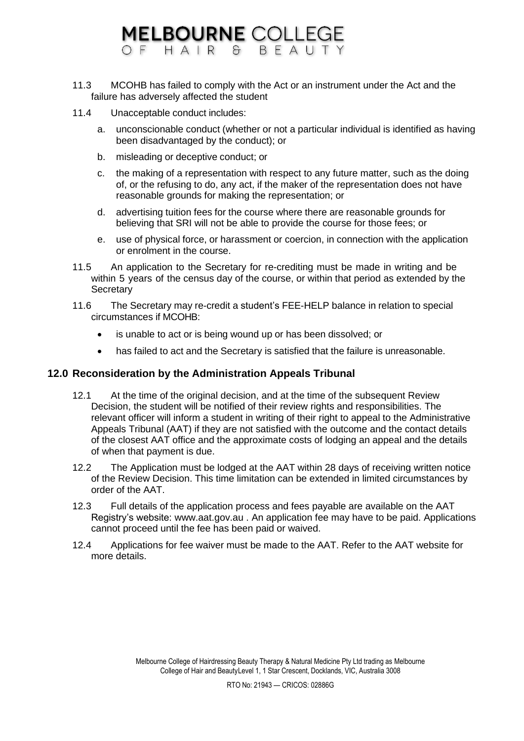#### **MELBOURNE COLLEGE** OFHAIR BEAUTY  $\mathcal{F}$

- 11.3 MCOHB has failed to comply with the Act or an instrument under the Act and the failure has adversely affected the student
- 11.4 Unacceptable conduct includes:
	- a. unconscionable conduct (whether or not a particular individual is identified as having been disadvantaged by the conduct); or
	- b. misleading or deceptive conduct; or
	- c. the making of a representation with respect to any future matter, such as the doing of, or the refusing to do, any act, if the maker of the representation does not have reasonable grounds for making the representation; or
	- d. advertising tuition fees for the course where there are reasonable grounds for believing that SRI will not be able to provide the course for those fees; or
	- e. use of physical force, or harassment or coercion, in connection with the application or enrolment in the course.
- 11.5 An application to the Secretary for re-crediting must be made in writing and be within 5 years of the census day of the course, or within that period as extended by the **Secretary**
- 11.6 The Secretary may re-credit a student's FEE-HELP balance in relation to special circumstances if MCOHB:
	- is unable to act or is being wound up or has been dissolved; or
	- has failed to act and the Secretary is satisfied that the failure is unreasonable.

### **12.0 Reconsideration by the Administration Appeals Tribunal**

- 12.1 At the time of the original decision, and at the time of the subsequent Review Decision, the student will be notified of their review rights and responsibilities. The relevant officer will inform a student in writing of their right to appeal to the Administrative Appeals Tribunal (AAT) if they are not satisfied with the outcome and the contact details of the closest AAT office and the approximate costs of lodging an appeal and the details of when that payment is due.
- 12.2 The Application must be lodged at the AAT within 28 days of receiving written notice of the Review Decision. This time limitation can be extended in limited circumstances by order of the AAT.
- 12.3 Full details of the application process and fees payable are available on the AAT Registry's website: [www.aat.gov.au .](http://www.aat.gov.au/) An application fee may have to be paid. Applications cannot proceed until the fee has been paid or waived.
- 12.4 Applications for fee waiver must be made to the AAT. Refer to the AAT website for more details.

Melbourne College of Hairdressing Beauty Therapy & Natural Medicine Pty Ltd trading as Melbourne College of Hair and BeautyLevel 1, 1 Star Crescent, Docklands, VIC, Australia 3008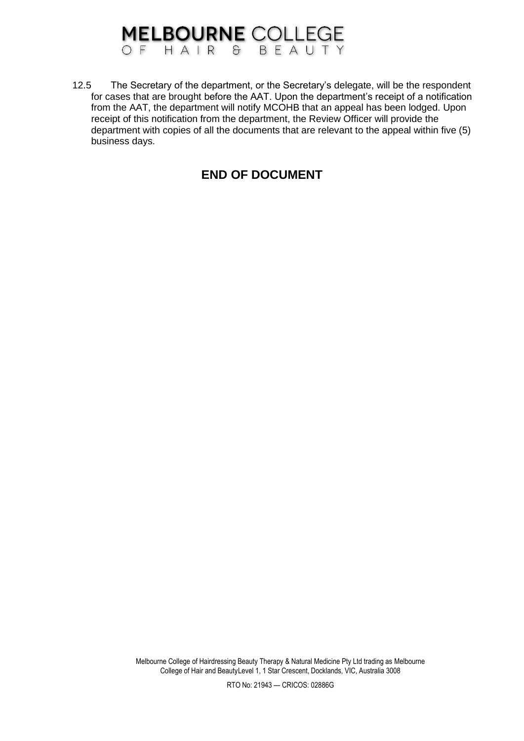12.5 The Secretary of the department, or the Secretary's delegate, will be the respondent for cases that are brought before the AAT. Upon the department's receipt of a notification from the AAT, the department will notify MCOHB that an appeal has been lodged. Upon receipt of this notification from the department, the Review Officer will provide the department with copies of all the documents that are relevant to the appeal within five (5) business days.

### **END OF DOCUMENT**

Melbourne College of Hairdressing Beauty Therapy & Natural Medicine Pty Ltd trading as Melbourne College of Hair and BeautyLevel 1, 1 Star Crescent, Docklands, VIC, Australia 3008

RTO No: 21943 — CRICOS: 02886G